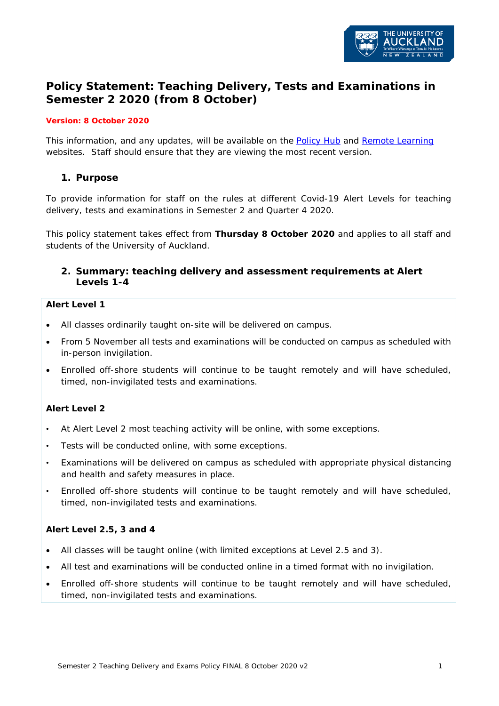

# **Policy Statement: Teaching Delivery, Tests and Examinations in Semester 2 2020 (from 8 October)**

#### *Version: 8 October 2020*

This information, and any updates, will be available on the [Policy Hub](https://www.auckland.ac.nz/en/about/the-university/how-university-works/policy-and-administration/teaching-and-learning.html) and [Remote Learning](https://remotelearning.auckland.ac.nz/) websites. Staff should ensure that they are viewing the most recent version.

### **1. Purpose**

To provide information for staff on the rules at different Covid-19 Alert Levels for teaching delivery, tests and examinations in Semester 2 and Quarter 4 2020.

This policy statement takes effect from **Thursday 8 October 2020** and applies to all staff and students of the University of Auckland.

### **2. Summary: teaching delivery and assessment requirements at Alert Levels 1-4**

#### **Alert Level 1**

- All classes ordinarily taught on-site will be delivered on campus.
- From 5 November all tests and examinations will be conducted on campus as scheduled with in-person invigilation.
- Enrolled off-shore students will continue to be taught remotely and will have scheduled, timed, non-invigilated tests and examinations.

### **Alert Level 2**

- At Alert Level 2 most teaching activity will be online, with some exceptions.
- Tests will be conducted online, with some exceptions.
- Examinations will be delivered on campus as scheduled with appropriate physical distancing and health and safety measures in place.
- Enrolled off-shore students will continue to be taught remotely and will have scheduled, timed, non-invigilated tests and examinations.

#### **Alert Level 2.5, 3 and 4**

- All classes will be taught online (with limited exceptions at Level 2.5 and 3).
- All test and examinations will be conducted online in a timed format with no invigilation.
- Enrolled off-shore students will continue to be taught remotely and will have scheduled, timed, non-invigilated tests and examinations.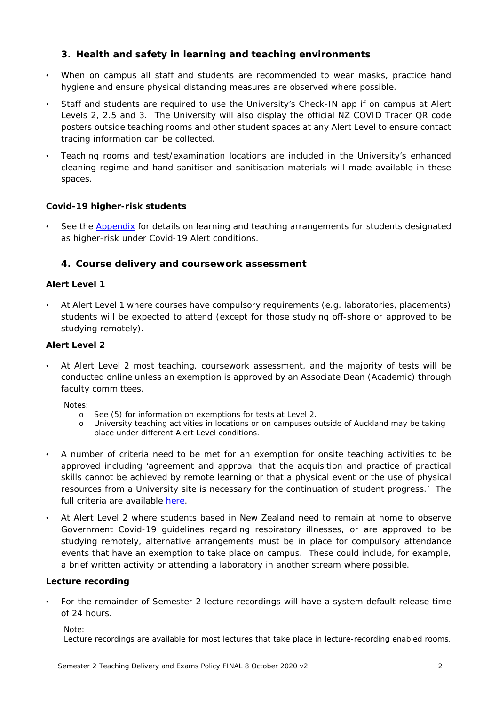# **3. Health and safety in learning and teaching environments**

- When on campus all staff and students are recommended to wear masks, practice hand hygiene and ensure physical distancing measures are observed where possible.
- Staff and students are required to use the University's Check-IN app if on campus at Alert Levels 2, 2.5 and 3. The University will also display the official NZ COVID Tracer QR code posters outside teaching rooms and other student spaces at any Alert Level to ensure contact tracing information can be collected.
- Teaching rooms and test/examination locations are included in the University's enhanced cleaning regime and hand sanitiser and sanitisation materials will made available in these spaces.

### **Covid-19 higher-risk students**

See the **Appendix** for details on learning and teaching arrangements for students designated as higher-risk under Covid-19 Alert conditions.

# **4. Course delivery and coursework assessment**

### **Alert Level 1**

• At Alert Level 1 where courses have compulsory requirements (e.g. laboratories, placements) students will be expected to attend (except for those studying off-shore or approved to be studying remotely).

# **Alert Level 2**

• At Alert Level 2 most teaching, coursework assessment, and the majority of tests will be conducted online unless an exemption is approved by an Associate Dean (Academic) through faculty committees.

*Notes:* 

- o *See (5) for information on exemptions for tests at Level 2.*
- o *University teaching activities in locations or on campuses outside of Auckland may be taking place under different Alert Level conditions.*
- A number of criteria need to be met for an exemption for onsite teaching activities to be approved including 'agreement and approval that the acquisition and practice of practical skills cannot be achieved by remote learning or that a physical event or the use of physical resources from a University site is necessary for the continuation of student progress.' The full criteria are available [here.](https://www.staff.auckland.ac.nz/en/covid-19/alert-level-2/level-2-plan.html#1274bc9b0e1729fc6f186b85f74f0dba)
- At Alert Level 2 where students based in New Zealand need to remain at home to observe Government Covid-19 guidelines regarding respiratory illnesses, or are approved to be studying remotely, alternative arrangements must be in place for compulsory attendance events that have an exemption to take place on campus. These could include, for example, a brief written activity or attending a laboratory in another stream where possible.

### **Lecture recording**

• For the remainder of Semester 2 lecture recordings will have a system default release time of 24 hours.

#### *Note:*

*Lecture recordings are available for most lectures that take place in lecture-recording enabled rooms.*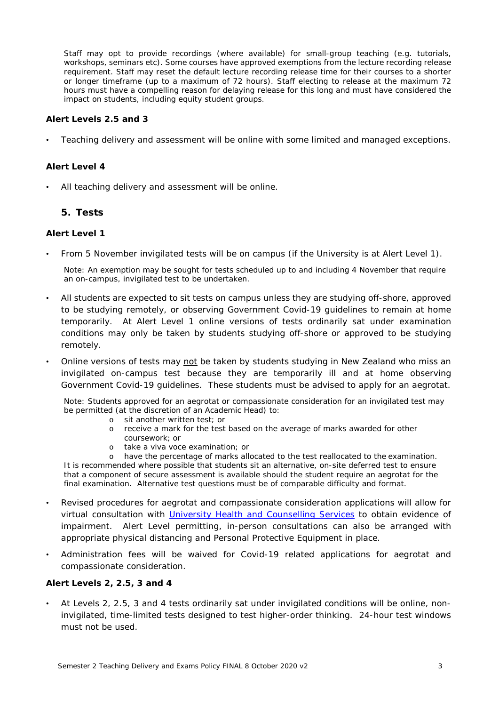*Staff may opt to provide recordings (where available) for small-group teaching (e.g. tutorials, workshops, seminars etc). Some courses have approved exemptions from the lecture recording release requirement. Staff may reset the default lecture recording release time for their courses to a shorter or longer timeframe (up to a maximum of 72 hours). Staff electing to release at the maximum 72 hours must have a compelling reason for delaying release for this long and must have considered the impact on students, including equity student groups.* 

#### **Alert Levels 2.5 and 3**

• Teaching delivery and assessment will be online with some limited and managed exceptions.

#### **Alert Level 4**

All teaching delivery and assessment will be online.

#### **5. Tests**

#### **Alert Level 1**

• From 5 November invigilated tests will be on campus (if the University is at Alert Level 1).

*Note: An exemption may be sought for tests scheduled up to and including 4 November that require an on-campus, invigilated test to be undertaken.*

- All students are expected to sit tests on campus unless they are studying off-shore, approved to be studying remotely, or observing Government Covid-19 guidelines to remain at home temporarily. At Alert Level 1 online versions of tests ordinarily sat under examination conditions may only be taken by students studying off-shore or approved to be studying remotely.
- Online versions of tests may not be taken by students studying in New Zealand who miss an invigilated on-campus test because they are temporarily ill and at home observing Government Covid-19 guidelines. These students must be advised to apply for an aegrotat.

*Note: Students approved for an aegrotat or compassionate consideration for an invigilated test may be permitted (at the discretion of an Academic Head) to:*

- o *sit another written test; or*
- receive a mark for the test based on the average of marks awarded for other *coursework; or*
- o *take a viva voce examination; or*

o *have the percentage of marks allocated to the test reallocated to the examination. It is recommended where possible that students sit an alternative, on-site deferred test to ensure that a component of secure assessment is available should the student require an aegrotat for the final examination. Alternative test questions must be of comparable difficulty and format.*

- Revised procedures for aegrotat and compassionate consideration applications will allow for virtual consultation with [University Health and Counselling](https://www.auckland.ac.nz/en/on-campus/student-support/personal-support/student-health-counselling.html) Services to obtain evidence of impairment. Alert Level permitting, in-person consultations can also be arranged with appropriate physical distancing and Personal Protective Equipment in place.
- Administration fees will be waived for Covid-19 related applications for aegrotat and compassionate consideration.

#### **Alert Levels 2, 2.5, 3 and 4**

• At Levels 2, 2.5, 3 and 4 tests ordinarily sat under invigilated conditions will be online, noninvigilated, time-limited tests designed to test higher-order thinking. 24-hour test windows must not be used.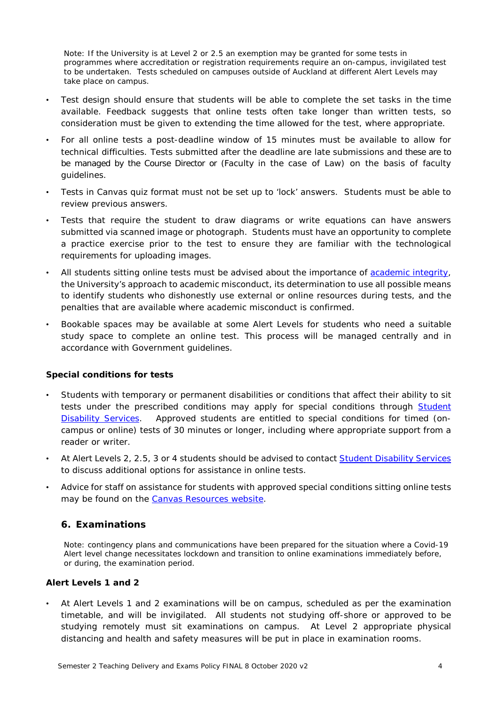*Note: If the University is at Level 2 or 2.5 an exemption may be granted for some tests in programmes where accreditation or registration requirements require an on-campus, invigilated test to be undertaken. Tests scheduled on campuses outside of Auckland at different Alert Levels may take place on campus.*

- Test design should ensure that students will be able to complete the set tasks in the [time](https://remotelearning.auckland.ac.nz/assessments/tests/#availability)  [available.](https://remotelearning.auckland.ac.nz/assessments/tests/#availability) Feedback suggests that online tests often take longer than written tests, so consideration must be given to extending the time allowed for the test, where appropriate.
- For all online tests a post-deadline window of 15 minutes must be available to allow for technical difficulties. Tests submitted after the deadline are late submissions and these are to be managed by the Course Director or (Faculty in the case of Law) on the basis of faculty guidelines.
- Tests in Canvas quiz format must not be set up to 'lock' answers. Students must be able to review previous answers.
- Tests that require the student to draw diagrams or write equations can have answers submitted via scanned image or photograph. Students must have an opportunity to complete a practice exercise prior to the test to ensure they are familiar with the technological requirements for uploading images.
- All students sitting online tests must be advised about the importance of [academic integrity,](https://www.auckland.ac.nz/en/staff/learning-and-teaching/academic-integrity/promoting-academic-integrity.html) the University's approach to academic misconduct, its determination to use all possible means to identify students who dishonestly use external or online resources during tests, and the penalties that are available where academic misconduct is confirmed.
- Bookable spaces may be available at some Alert Levels for students who need a suitable study space to complete an online test. This process will be managed centrally and in accordance with Government guidelines.

#### **Special conditions for tests**

- Students with temporary or permanent disabilities or conditions that affect their ability to sit tests under the prescribed conditions may apply for special conditions through [Student](https://www.auckland.ac.nz/en/on-campus/student-support/personal-support/students-with-disabilities/support-for-current-students/special-conditions-for-tests-and-exams-.html)  [Disability Services.](https://www.auckland.ac.nz/en/on-campus/student-support/personal-support/students-with-disabilities/support-for-current-students/special-conditions-for-tests-and-exams-.html) Approved students are entitled to special conditions for timed (oncampus or online) tests of 30 minutes or longer, including where appropriate support from a reader or writer.
- At Alert Levels 2, 2.5, 3 or 4 students should be advised to contact [Student Disability Services](https://www.auckland.ac.nz/en/on-campus/student-support/personal-support/students-with-disabilities/support-for-current-students/special-conditions-for-tests-and-exams-.html) to discuss additional options for assistance in online tests.
- Advice for staff on assistance for students with approved special conditions sitting online tests may be found on the [Canvas Resources website.](https://canvas.auckland.ac.nz/courses/32925)

### **6. Examinations**

*Note: contingency plans and communications have been prepared for the situation where a Covid-19 Alert level change necessitates lockdown and transition to online examinations immediately before, or during, the examination period.*

### **Alert Levels 1 and 2**

• At Alert Levels 1 and 2 examinations will be on campus, scheduled as per the examination timetable, and will be invigilated. All students not studying off-shore or approved to be studying remotely must sit examinations on campus. At Level 2 appropriate physical distancing and health and safety measures will be put in place in examination rooms.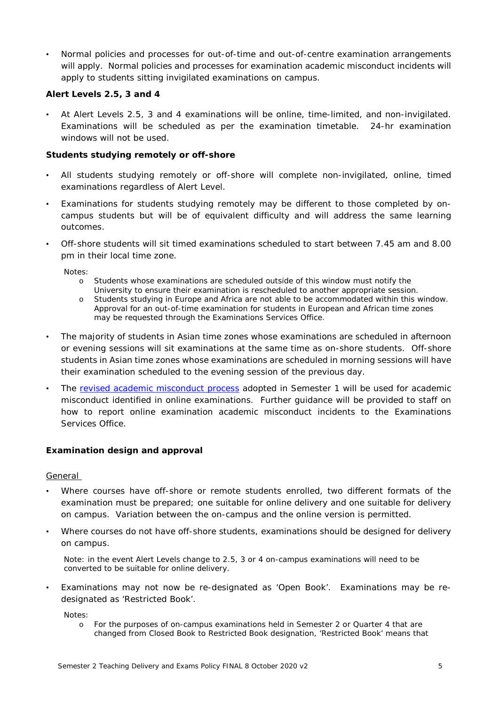• Normal policies and processes for out-of-time and out-of-centre examination arrangements will apply. Normal policies and processes for examination academic misconduct incidents will apply to students sitting invigilated examinations on campus.

### **Alert Levels 2.5, 3 and 4**

• At Alert Levels 2.5, 3 and 4 examinations will be online, time-limited, and non-invigilated. Examinations will be scheduled as per the examination timetable. 24-hr examination windows will not be used.

### **Students studying remotely or off-shore**

- All students studying remotely or off-shore will complete non-invigilated, online, timed examinations regardless of Alert Level.
- Examinations for students studying remotely may be different to those completed by oncampus students but will be of equivalent difficulty and will address the same learning outcomes.
- Off-shore students will sit timed examinations scheduled to start between 7.45 am and 8.00 pm in their local time zone.

*Notes:* 

- o *Students whose examinations are scheduled outside of this window must notify the University to ensure their examination is rescheduled to another appropriate session.*
- o *Students studying in Europe and Africa are not able to be accommodated within this window. Approval for an out-of-time examination for students in European and African time zones may be requested through the Examinations Services Office.*
- The majority of students in Asian time zones whose examinations are scheduled in afternoon or evening sessions will sit examinations at the same time as on-shore students. Off-shore students in Asian time zones whose examinations are scheduled in morning sessions will have their examination scheduled to the evening session of the previous day.
- The [revised academic misconduct process](https://www.auckland.ac.nz/en/about/the-university/how-university-works/policy-and-administration/teaching-and-learning/students/procedure-for-academic-misconduct-in-online-exams--2020-.html) adopted in Semester 1 will be used for academic misconduct identified in online examinations. Further guidance will be provided to staff on how to report online examination academic misconduct incidents to the Examinations Services Office.

#### **Examination design and approval**

### **General**

- Where courses have off-shore or remote students enrolled, two different formats of the examination must be prepared; one suitable for online delivery and one suitable for delivery on campus. Variation between the on-campus and the online version is permitted.
- Where courses do not have off-shore students, examinations should be designed for delivery on campus.

*Note: in the event Alert Levels change to 2.5, 3 or 4 on-campus examinations will need to be converted to be suitable for online delivery.*

• Examinations may not now be *re*-designated as 'Open Book'. Examinations may be redesignated as 'Restricted Book'.

*Notes:*

o *For the purposes of on-campus examinations held in Semester 2 or Quarter 4 that are changed from Closed Book to Restricted Book designation, 'Restricted Book' means that*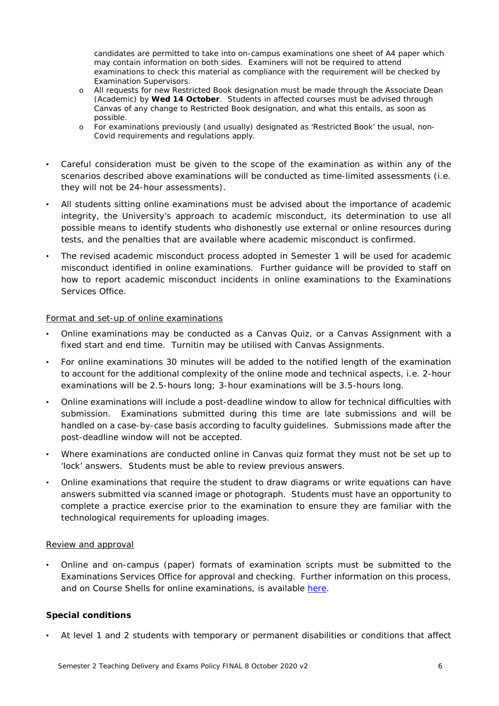*candidates are permitted to take into on-campus examinations one sheet of A4 paper which may contain information on both sides. Examiners will not be required to attend examinations to check this material as compliance with the requirement will be checked by Examination Supervisors.*

- o *All requests for new Restricted Book designation must be made through the Associate Dean (Academic) by Wed 14 October. Students in affected courses must be advised through Canvas of any change to Restricted Book designation, and what this entails, as soon as possible.*
- o *For examinations previously (and usually) designated as 'Restricted Book' the usual, non-Covid requirements and regulations apply.*
- Careful consideration must be given to the scope of the examination as within any of the scenarios described above examinations will be conducted as time-limited assessments (i.e. they will not be 24-hour assessments).
- All students sitting online examinations must be advised about the importance of academic integrity, the University's approach to academic misconduct, its determination to use all possible means to identify students who dishonestly use external or online resources during tests, and the penalties that are available where academic misconduct is confirmed.
- The revised academic misconduct process adopted in Semester 1 will be used for academic misconduct identified in online examinations. Further guidance will be provided to staff on how to report academic misconduct incidents in online examinations to the Examinations Services Office.

### Format and set-up of online examinations

- Online examinations may be conducted as a Canvas Quiz, or a Canvas Assignment with a fixed start and end time. Turnitin may be utilised with Canvas Assignments.
- For online examinations 30 minutes will be added to the notified length of the examination to account for the additional complexity of the online mode and technical aspects, i.e. 2-hour examinations will be 2.5-hours long; 3-hour examinations will be 3.5-hours long.
- Online examinations will include a post-deadline window to allow for technical difficulties with submission. Examinations submitted during this time are late submissions and will be handled on a case-by-case basis according to faculty guidelines. Submissions made after the post-deadline window will not be accepted.
- Where examinations are conducted online in Canvas quiz format they must not be set up to 'lock' answers. Students must be able to review previous answers.
- Online examinations that require the student to draw diagrams or write equations can have answers submitted via scanned image or photograph. Students must have an opportunity to complete a practice exercise prior to the examination to ensure they are familiar with the technological requirements for uploading images.

#### Review and approval

• Online and on-campus (paper) formats of examination scripts must be submitted to the Examinations Services Office for approval and checking. Further information on this process, and on Course Shells for online examinations, is available [here.](https://remotelearning.auckland.ac.nz/assessments/exams/process/)

### **Special conditions**

• At level 1 and 2 students with temporary or permanent disabilities or conditions that affect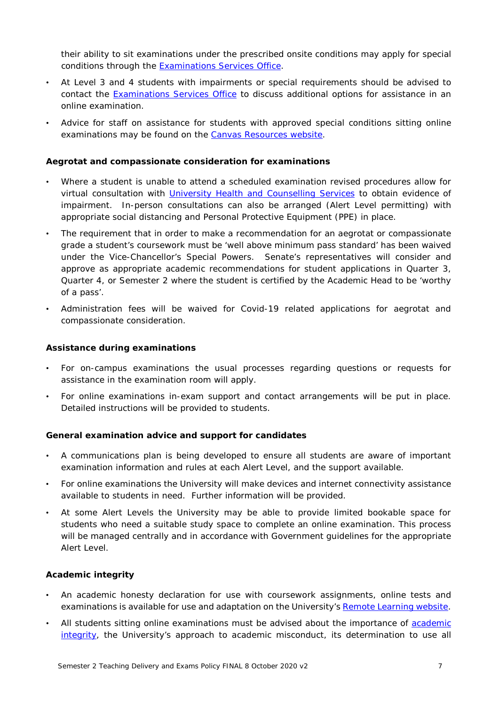their ability to sit examinations under the prescribed onsite conditions may apply for special conditions through the [Examinations Services Office.](https://www.auckland.ac.nz/en/students/academic-information/exams-and-final-results/before-exams/special-conditions.html)

- At Level 3 and 4 students with impairments or special requirements should be advised to contact the **Examinations Services Office** to discuss additional options for assistance in an online examination.
- Advice for staff on assistance for students with approved special conditions sitting online examinations may be found on the [Canvas Resources website.](https://canvas.auckland.ac.nz/courses/32925)

#### **Aegrotat and compassionate consideration for examinations**

- Where a student is unable to attend a scheduled examination revised procedures allow for virtual consultation with *University Health and Counselling Services* to obtain evidence of impairment. In-person consultations can also be arranged (Alert Level permitting) with appropriate social distancing and Personal Protective Equipment (PPE) in place.
- The requirement that in order to make a recommendation for an aegrotat or compassionate grade a student's coursework must be 'well above minimum pass standard' has been waived under the Vice-Chancellor's Special Powers. Senate's representatives will consider and approve as appropriate academic recommendations for student applications in Quarter 3, Quarter 4, or Semester 2 where the student is certified by the Academic Head to be 'worthy of a pass'.
- Administration fees will be waived for Covid-19 related applications for aegrotat and compassionate consideration.

#### **Assistance during examinations**

- For on-campus examinations the usual processes regarding questions or requests for assistance in the examination room will apply.
- For online examinations in-exam support and contact arrangements will be put in place. Detailed instructions will be provided to students.

#### **General examination advice and support for candidates**

- A communications plan is being developed to ensure all students are aware of important examination information and rules at each Alert Level, and the support available.
- For online examinations the University will make devices and internet connectivity assistance available to students in need. Further information will be provided.
- At some Alert Levels the University may be able to provide limited bookable space for students who need a suitable study space to complete an online examination. This process will be managed centrally and in accordance with Government guidelines for the appropriate Alert Level.

#### **Academic integrity**

- An academic honesty declaration for use with coursework assignments, online tests and examinations is available for use and adaptation on the University's [Remote Learning website.](https://remotelearning.auckland.ac.nz/ai/declaration/)
- All students sitting online examinations must be advised about the importance of [academic](https://www.auckland.ac.nz/en/staff/learning-and-teaching/academic-integrity/promoting-academic-integrity.html)  [integrity,](https://www.auckland.ac.nz/en/staff/learning-and-teaching/academic-integrity/promoting-academic-integrity.html) the University's approach to academic misconduct, its determination to use all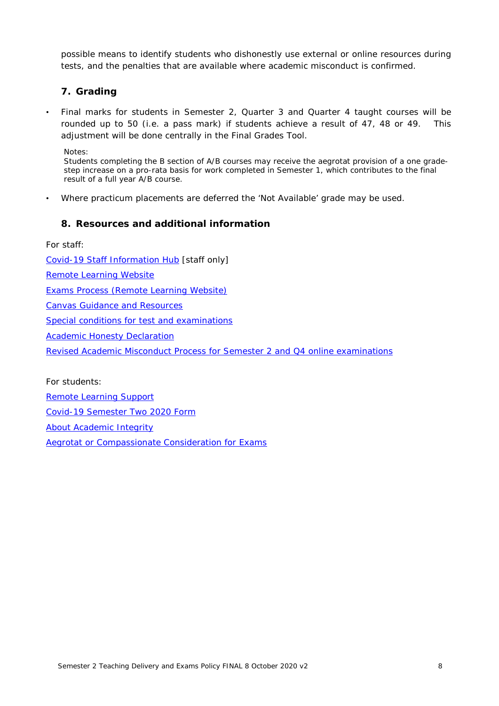possible means to identify students who dishonestly use external or online resources during tests, and the penalties that are available where academic misconduct is confirmed.

### **7. Grading**

• Final marks for students in Semester 2, Quarter 3 and Quarter 4 taught courses will be rounded up to 50 (i.e. a pass mark) if students achieve a result of 47, 48 or 49. This adjustment will be done centrally in the Final Grades Tool.

*Notes:* 

*Students completing the B section of A/B courses may receive the aegrotat provision of a one gradestep increase on a pro-rata basis for work completed in Semester 1, which contributes to the final result of a full year A/B course.*

• Where practicum placements are deferred the 'Not Available' grade may be used.

### **8. Resources and additional information**

For staff:

[Covid-19 Staff Information Hub](https://www.staff.auckland.ac.nz/en/covid-19.html) [staff only]

[Remote Learning Website](https://remotelearning.auckland.ac.nz/assessments/redesign/)

[Exams Process \(Remote Learning Website\)](https://remotelearning.auckland.ac.nz/assessments/exams/process/)

[Canvas Guidance and Resources](https://www.canvas.ac.nz/resources/)

[Special conditions for test and examinations](https://www.auckland.ac.nz/en/on-campus/student-support/personal-support/students-with-disabilities/support-for-current-students/special-conditions-for-tests-and-exams-.html)

[Academic Honesty Declaration](https://remotelearning.auckland.ac.nz/ai/declaration/)

[Revised Academic Misconduct Process for Semester 2 and Q4](https://www.auckland.ac.nz/en/about/the-university/how-university-works/policy-and-administration/teaching-and-learning/students/procedure-for-academic-misconduct-in-online-exams--2020-.html) online examinations

For students:

[Remote Learning Support](https://www.auckland.ac.nz/en/students/student-support/remote-learning-support.html)

[Covid-19 Semester Two 2020 Form](https://www.forms.auckland.ac.nz/en/public/student-contact-and-support/covid19-form.html)

[About Academic Integrity](https://www.auckland.ac.nz/en/students/forms-policies-and-guidelines/student-policies-and-guidelines/academic-integrity-copyright/about-academic-integrity.html)

**[Aegrotat or Compassionate Consideration for Exams](https://www.auckland.ac.nz/en/students/academic-information/exams-and-final-results/during-exams/aegrotat-and-compassionate-consideration.html)**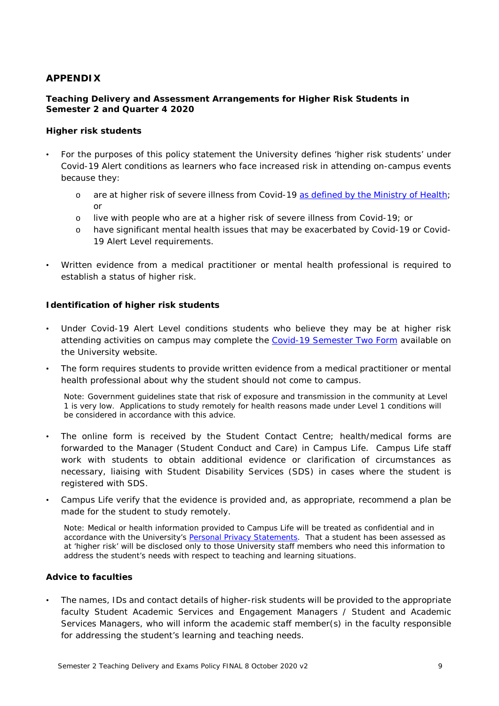### <span id="page-8-0"></span>**APPENDIX**

### **Teaching Delivery and Assessment Arrangements for Higher Risk Students in Semester 2 and Quarter 4 2020**

#### **Higher risk students**

- For the purposes of this policy statement the University defines 'higher risk students' under Covid-19 Alert conditions as learners who face increased risk in attending on-campus events because they:
	- o are at higher risk of severe illness from Covid-19 [as defined by the Ministry of Health;](https://www.health.govt.nz/our-work/diseases-and-conditions/covid-19-novel-coronavirus/covid-19-information-specific-audiences/covid-19-advice-higher-risk-people) or
	- o live with people who are at a higher risk of severe illness from Covid-19; or
	- o have significant mental health issues that may be exacerbated by Covid-19 or Covid-19 Alert Level requirements.
- Written evidence from a medical practitioner or mental health professional is required to establish a status of higher risk.

### **Identification of higher risk students**

- Under Covid-19 Alert Level conditions students who believe they may be at higher risk attending activities on campus may complete the [Covid-19 Semester Two Form](https://www.forms.auckland.ac.nz/en/public/student-contact-and-support/covid19-form.html) available on the University website.
- The form requires students to provide written evidence from a medical practitioner or mental health professional about why the student should not come to campus.

*Note: Government guidelines state that risk of exposure and transmission in the community at Level 1 is very low. Applications to study remotely for health reasons made under Level 1 conditions will be considered in accordance with this advice.* 

- The online form is received by the Student Contact Centre; health/medical forms are forwarded to the Manager (Student Conduct and Care) in Campus Life. Campus Life staff work with students to obtain additional evidence or clarification of circumstances as necessary, liaising with Student Disability Services (SDS) in cases where the student is registered with SDS.
- Campus Life verify that the evidence is provided and, as appropriate, recommend a plan be made for the student to study remotely.

*Note: Medical or health information provided to Campus Life will be treated as confidential and in accordance with the University's [Personal Privacy Statements.](https://www.auckland.ac.nz/en/privacy.html) That a student has been assessed as at 'higher risk' will be disclosed only to those University staff members who need this information to address the student's needs with respect to teaching and learning situations.*

### **Advice to faculties**

• The names, IDs and contact details of higher-risk students will be provided to the appropriate faculty Student Academic Services and Engagement Managers / Student and Academic Services Managers, who will inform the academic staff member(s) in the faculty responsible for addressing the student's learning and teaching needs.